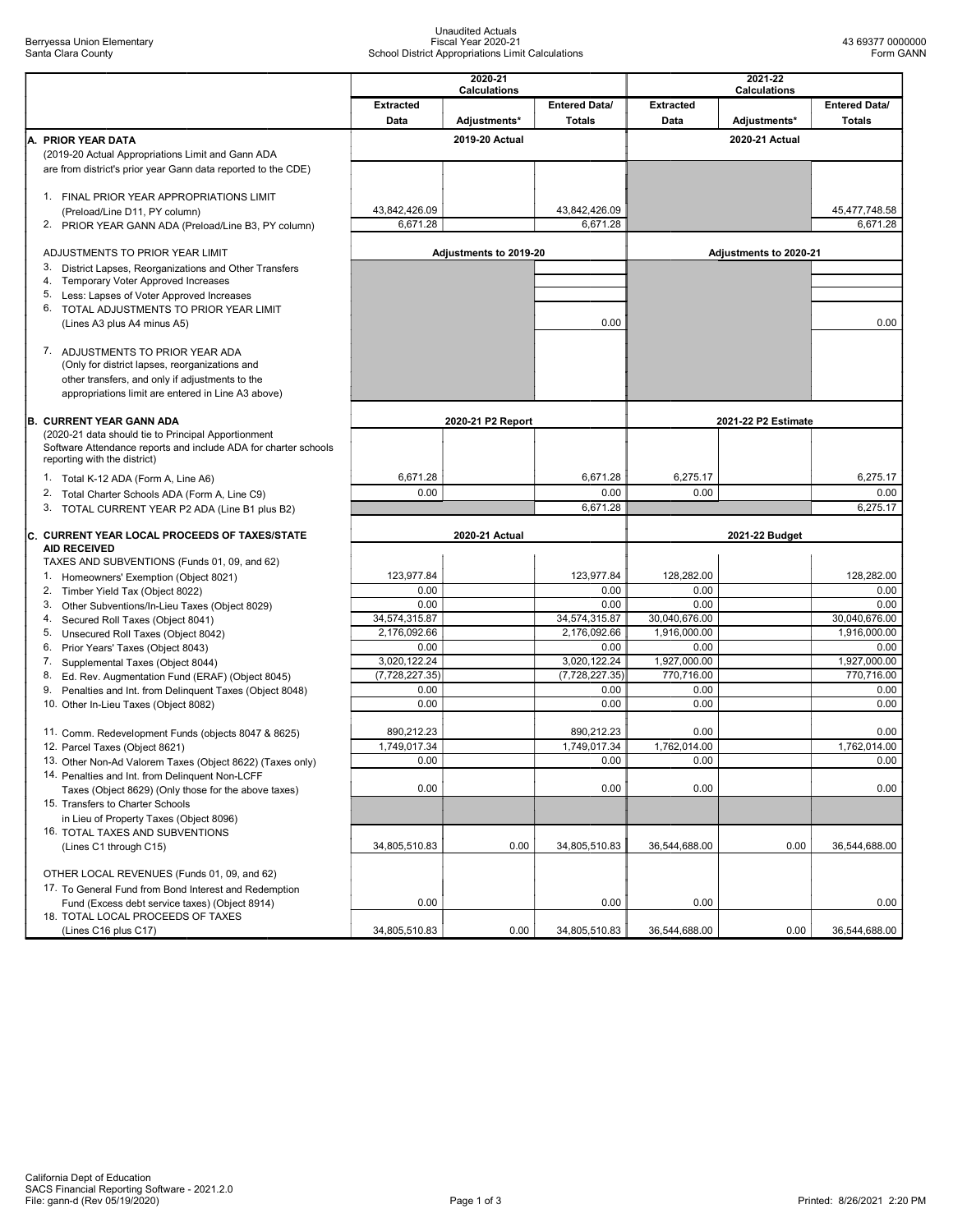## Unaudited Actuals Fiscal Year 2020-21 School District Appropriations Limit Calculations

|                                                                                                              | 2020-21<br><b>Calculations</b> |                        |                      | 2021-22<br><b>Calculations</b> |                        |                      |
|--------------------------------------------------------------------------------------------------------------|--------------------------------|------------------------|----------------------|--------------------------------|------------------------|----------------------|
|                                                                                                              | <b>Extracted</b>               |                        | <b>Entered Data/</b> | <b>Extracted</b>               |                        | <b>Entered Data/</b> |
|                                                                                                              | Data                           | Adjustments*           | <b>Totals</b>        | Data                           | Adjustments*           | <b>Totals</b>        |
| A. PRIOR YEAR DATA                                                                                           |                                | 2019-20 Actual         |                      |                                | 2020-21 Actual         |                      |
| (2019-20 Actual Appropriations Limit and Gann ADA                                                            |                                |                        |                      |                                |                        |                      |
| are from district's prior year Gann data reported to the CDE)                                                |                                |                        |                      |                                |                        |                      |
| 1. FINAL PRIOR YEAR APPROPRIATIONS LIMIT                                                                     |                                |                        |                      |                                |                        |                      |
| (Preload/Line D11, PY column)                                                                                | 43,842,426.09                  |                        | 43,842,426.09        |                                |                        | 45,477,748.58        |
| 2.<br>PRIOR YEAR GANN ADA (Preload/Line B3, PY column)                                                       | 6,671.28                       |                        | 6,671.28             |                                |                        | 6,671.28             |
|                                                                                                              |                                |                        |                      |                                |                        |                      |
| ADJUSTMENTS TO PRIOR YEAR LIMIT<br>3. District Lapses, Reorganizations and Other Transfers                   |                                | Adjustments to 2019-20 |                      |                                | Adjustments to 2020-21 |                      |
| 4. Temporary Voter Approved Increases                                                                        |                                |                        |                      |                                |                        |                      |
| 5.<br>Less: Lapses of Voter Approved Increases                                                               |                                |                        |                      |                                |                        |                      |
| 6. TOTAL ADJUSTMENTS TO PRIOR YEAR LIMIT                                                                     |                                |                        |                      |                                |                        |                      |
| (Lines A3 plus A4 minus A5)                                                                                  |                                |                        | 0.00                 |                                |                        | 0.00                 |
| 7. ADJUSTMENTS TO PRIOR YEAR ADA                                                                             |                                |                        |                      |                                |                        |                      |
| (Only for district lapses, reorganizations and                                                               |                                |                        |                      |                                |                        |                      |
| other transfers, and only if adjustments to the                                                              |                                |                        |                      |                                |                        |                      |
| appropriations limit are entered in Line A3 above)                                                           |                                |                        |                      |                                |                        |                      |
| <b>B. CURRENT YEAR GANN ADA</b>                                                                              |                                | 2020-21 P2 Report      |                      |                                | 2021-22 P2 Estimate    |                      |
| (2020-21 data should tie to Principal Apportionment                                                          |                                |                        |                      |                                |                        |                      |
| Software Attendance reports and include ADA for charter schools                                              |                                |                        |                      |                                |                        |                      |
| reporting with the district)                                                                                 |                                |                        |                      |                                |                        |                      |
| 1. Total K-12 ADA (Form A, Line A6)                                                                          | 6,671.28                       |                        | 6,671.28             | 6,275.17                       |                        | 6,275.17             |
| 2. Total Charter Schools ADA (Form A, Line C9)                                                               | 0.00                           |                        | 0.00<br>6,671.28     | 0.00                           |                        | 0.00<br>6,275.17     |
| 3. TOTAL CURRENT YEAR P2 ADA (Line B1 plus B2)                                                               |                                |                        |                      |                                |                        |                      |
| C. CURRENT YEAR LOCAL PROCEEDS OF TAXES/STATE                                                                |                                | 2020-21 Actual         |                      | 2021-22 Budget                 |                        |                      |
| <b>AID RECEIVED</b>                                                                                          |                                |                        |                      |                                |                        |                      |
| TAXES AND SUBVENTIONS (Funds 01, 09, and 62)<br>1. Homeowners' Exemption (Object 8021)                       | 123,977.84                     |                        | 123,977.84           | 128,282.00                     |                        | 128,282.00           |
| 2. Timber Yield Tax (Object 8022)                                                                            | 0.00                           |                        | 0.00                 | 0.00                           |                        | 0.00                 |
| 3.<br>Other Subventions/In-Lieu Taxes (Object 8029)                                                          | 0.00                           |                        | 0.00                 | 0.00                           |                        | 0.00                 |
| 4. Secured Roll Taxes (Object 8041)                                                                          | 34,574,315.87                  |                        | 34,574,315.87        | 30,040,676.00                  |                        | 30,040,676.00        |
| 5.<br>Unsecured Roll Taxes (Object 8042)                                                                     | 2,176,092.66                   |                        | 2,176,092.66         | 1,916,000.00                   |                        | 1,916,000.00         |
| 6. Prior Years' Taxes (Object 8043)<br>7. Supplemental Taxes (Object 8044)                                   | 0.00<br>3,020,122.24           |                        | 0.00<br>3,020,122.24 | 0.00<br>1,927,000.00           |                        | 0.00<br>1,927,000.00 |
| 8. Ed. Rev. Augmentation Fund (ERAF) (Object 8045)                                                           | (7, 728, 227.35)               |                        | (7,728,227.35)       | 770,716.00                     |                        | 770,716.00           |
| 9.<br>Penalties and Int. from Delinquent Taxes (Object 8048)                                                 | 0.00                           |                        | 0.00                 | 0.00                           |                        | 0.00                 |
| 10. Other In-Lieu Taxes (Object 8082)                                                                        | 0.00                           |                        | 0.00                 | 0.00                           |                        | 0.00                 |
|                                                                                                              |                                |                        |                      | 0.00                           |                        | 0.00                 |
|                                                                                                              |                                |                        |                      |                                |                        |                      |
| 11. Comm. Redevelopment Funds (objects 8047 & 8625)                                                          | 890,212.23                     |                        | 890,212.23           |                                |                        |                      |
| 12. Parcel Taxes (Object 8621)                                                                               | 1,749,017.34<br>0.00           |                        | 1,749,017.34<br>0.00 | 1,762,014.00<br>0.00           |                        | 1,762,014.00<br>0.00 |
| 13. Other Non-Ad Valorem Taxes (Object 8622) (Taxes only)<br>14. Penalties and Int. from Delinquent Non-LCFF |                                |                        |                      |                                |                        |                      |
| Taxes (Object 8629) (Only those for the above taxes)                                                         | 0.00                           |                        | 0.00                 | 0.00                           |                        | 0.00                 |
| 15. Transfers to Charter Schools                                                                             |                                |                        |                      |                                |                        |                      |
| in Lieu of Property Taxes (Object 8096)                                                                      |                                |                        |                      |                                |                        |                      |
| 16. TOTAL TAXES AND SUBVENTIONS<br>(Lines C1 through C15)                                                    | 34,805,510.83                  | 0.00                   | 34,805,510.83        | 36,544,688.00                  | 0.00                   | 36,544,688.00        |
|                                                                                                              |                                |                        |                      |                                |                        |                      |
| OTHER LOCAL REVENUES (Funds 01, 09, and 62)                                                                  |                                |                        |                      |                                |                        |                      |
| 17. To General Fund from Bond Interest and Redemption                                                        |                                |                        |                      |                                |                        |                      |
| Fund (Excess debt service taxes) (Object 8914)                                                               | 0.00                           |                        | 0.00                 | 0.00                           |                        | 0.00                 |
| 18. TOTAL LOCAL PROCEEDS OF TAXES<br>(Lines C16 plus C17)                                                    | 34,805,510.83                  | 0.00                   | 34,805,510.83        | 36,544,688.00                  | 0.00                   | 36,544,688.00        |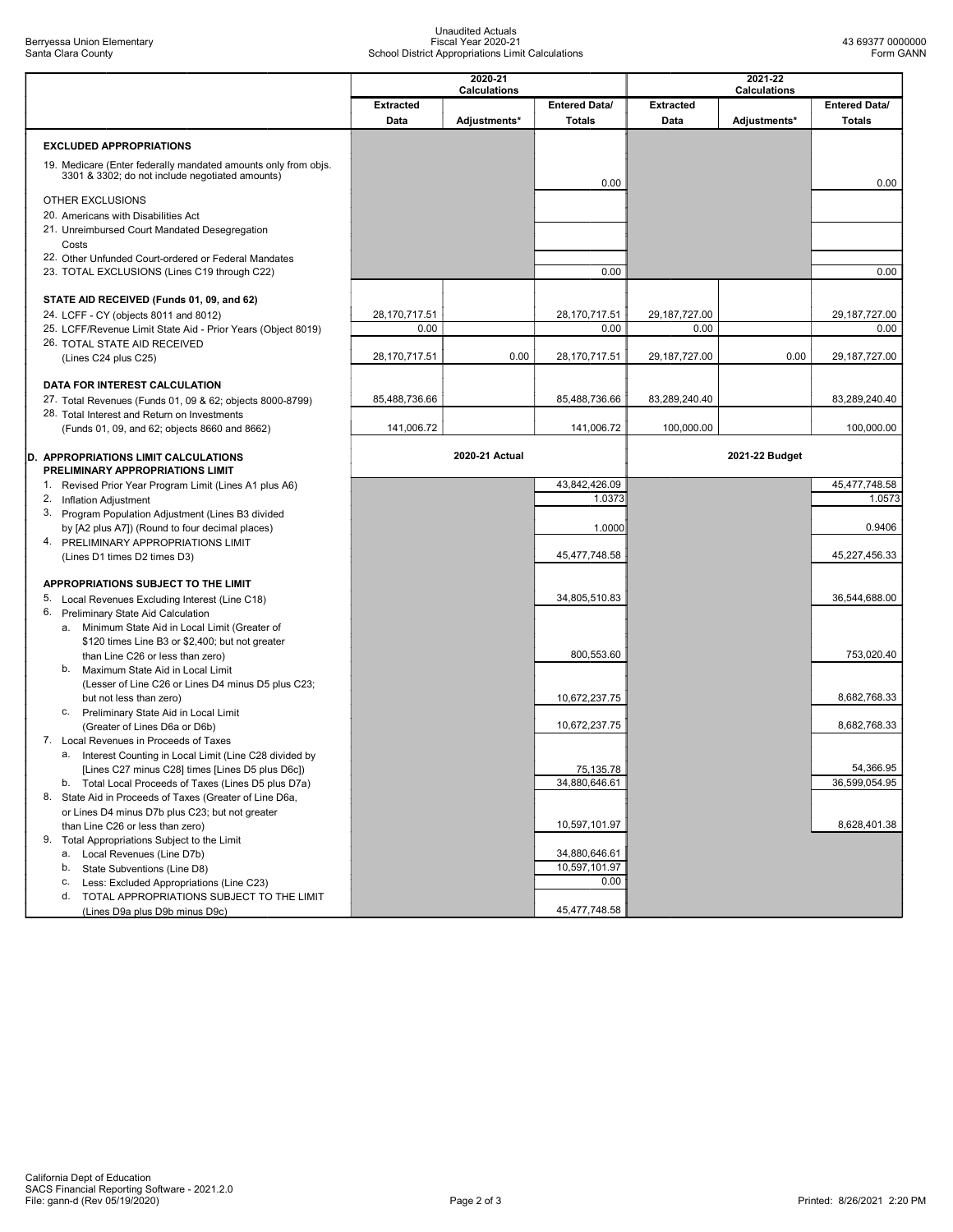## Unaudited Actuals Fiscal Year 2020-21 School District Appropriations Limit Calculations

|                                                                                                                   |                         | 2020-21<br><b>Calculations</b> |                            |                         | 2021-22<br><b>Calculations</b> |                            |  |  |
|-------------------------------------------------------------------------------------------------------------------|-------------------------|--------------------------------|----------------------------|-------------------------|--------------------------------|----------------------------|--|--|
|                                                                                                                   | <b>Extracted</b>        |                                | <b>Entered Data/</b>       | <b>Extracted</b>        |                                | Entered Data/              |  |  |
|                                                                                                                   | Data                    | Adjustments*                   | <b>Totals</b>              | Data                    | Adjustments*                   | <b>Totals</b>              |  |  |
| <b>EXCLUDED APPROPRIATIONS</b>                                                                                    |                         |                                |                            |                         |                                |                            |  |  |
| 19. Medicare (Enter federally mandated amounts only from objs.<br>3301 & 3302; do not include negotiated amounts) |                         |                                | 0.00                       |                         |                                | 0.00                       |  |  |
| OTHER EXCLUSIONS                                                                                                  |                         |                                |                            |                         |                                |                            |  |  |
| 20. Americans with Disabilities Act                                                                               |                         |                                |                            |                         |                                |                            |  |  |
| 21. Unreimbursed Court Mandated Desegregation<br>Costs                                                            |                         |                                |                            |                         |                                |                            |  |  |
| 22. Other Unfunded Court-ordered or Federal Mandates                                                              |                         |                                |                            |                         |                                |                            |  |  |
| 23. TOTAL EXCLUSIONS (Lines C19 through C22)                                                                      |                         |                                | 0.00                       |                         |                                | 0.00                       |  |  |
| STATE AID RECEIVED (Funds 01, 09, and 62)                                                                         |                         |                                |                            |                         |                                |                            |  |  |
| 24. LCFF - CY (objects 8011 and 8012)                                                                             | 28, 170, 717.51<br>0.00 |                                | 28,170,717.51<br>0.00      | 29, 187, 727.00<br>0.00 |                                | 29,187,727.00<br>0.00      |  |  |
| 25. LCFF/Revenue Limit State Aid - Prior Years (Object 8019)<br>26. TOTAL STATE AID RECEIVED                      |                         |                                |                            |                         |                                |                            |  |  |
| (Lines C24 plus C25)                                                                                              | 28, 170, 717.51         | 0.00                           | 28,170,717.51              | 29, 187, 727.00         | 0.00                           | 29,187,727.00              |  |  |
| <b>DATA FOR INTEREST CALCULATION</b>                                                                              |                         |                                |                            |                         |                                |                            |  |  |
| 27. Total Revenues (Funds 01, 09 & 62; objects 8000-8799)                                                         | 85,488,736.66           |                                | 85,488,736.66              | 83,289,240.40           |                                | 83,289,240.40              |  |  |
| 28. Total Interest and Return on Investments                                                                      |                         |                                |                            |                         |                                |                            |  |  |
| (Funds 01, 09, and 62; objects 8660 and 8662)                                                                     | 141,006.72              |                                | 141,006.72                 | 100,000.00              |                                | 100,000.00                 |  |  |
| D. APPROPRIATIONS LIMIT CALCULATIONS<br>PRELIMINARY APPROPRIATIONS LIMIT                                          |                         | 2020-21 Actual                 |                            |                         | 2021-22 Budget                 |                            |  |  |
| 1. Revised Prior Year Program Limit (Lines A1 plus A6)                                                            |                         |                                | 43,842,426.09              |                         |                                | 45.477.748.58              |  |  |
| 2. Inflation Adjustment<br>3. Program Population Adjustment (Lines B3 divided                                     |                         |                                | 1.0373                     |                         |                                | 1.0573                     |  |  |
| by [A2 plus A7]) (Round to four decimal places)                                                                   |                         |                                | 1.0000                     |                         |                                | 0.9406                     |  |  |
| 4. PRELIMINARY APPROPRIATIONS LIMIT                                                                               |                         |                                |                            |                         |                                |                            |  |  |
| (Lines D1 times D2 times D3)                                                                                      |                         |                                | 45,477,748.58              |                         |                                | 45,227,456.33              |  |  |
| APPROPRIATIONS SUBJECT TO THE LIMIT                                                                               |                         |                                |                            |                         |                                |                            |  |  |
| 5. Local Revenues Excluding Interest (Line C18)                                                                   |                         |                                | 34,805,510.83              |                         |                                | 36,544,688.00              |  |  |
| 6. Preliminary State Aid Calculation<br>a. Minimum State Aid in Local Limit (Greater of                           |                         |                                |                            |                         |                                |                            |  |  |
| \$120 times Line B3 or \$2,400; but not greater                                                                   |                         |                                |                            |                         |                                |                            |  |  |
| than Line C26 or less than zero)<br>Maximum State Aid in Local Limit<br>b.                                        |                         |                                | 800,553.60                 |                         |                                | 753,020.40                 |  |  |
| (Lesser of Line C26 or Lines D4 minus D5 plus C23;                                                                |                         |                                |                            |                         |                                |                            |  |  |
| but not less than zero)                                                                                           |                         |                                | 10,672,237.75              |                         |                                | 8,682,768.33               |  |  |
| Preliminary State Aid in Local Limit<br>C.<br>(Greater of Lines D6a or D6b)                                       |                         |                                | 10,672,237.75              |                         |                                | 8,682,768.33               |  |  |
| 7. Local Revenues in Proceeds of Taxes                                                                            |                         |                                |                            |                         |                                |                            |  |  |
| a. Interest Counting in Local Limit (Line C28 divided by<br>[Lines C27 minus C28] times [Lines D5 plus D6c])      |                         |                                |                            |                         |                                |                            |  |  |
| b. Total Local Proceeds of Taxes (Lines D5 plus D7a)                                                              |                         |                                | 75,135.78<br>34,880,646.61 |                         |                                | 54,366.95<br>36,599,054.95 |  |  |
| 8. State Aid in Proceeds of Taxes (Greater of Line D6a,                                                           |                         |                                |                            |                         |                                |                            |  |  |
| or Lines D4 minus D7b plus C23; but not greater                                                                   |                         |                                | 10,597,101.97              |                         |                                | 8,628,401.38               |  |  |
| than Line C26 or less than zero)<br>9. Total Appropriations Subject to the Limit                                  |                         |                                |                            |                         |                                |                            |  |  |
| a. Local Revenues (Line D7b)                                                                                      |                         |                                | 34,880,646.61              |                         |                                |                            |  |  |
| b.<br>State Subventions (Line D8)                                                                                 |                         |                                | 10,597,101.97<br>0.00      |                         |                                |                            |  |  |
| Less: Excluded Appropriations (Line C23)<br>С.<br>d. TOTAL APPROPRIATIONS SUBJECT TO THE LIMIT                    |                         |                                |                            |                         |                                |                            |  |  |
| (Lines D9a plus D9b minus D9c)                                                                                    |                         |                                | 45,477,748.58              |                         |                                |                            |  |  |